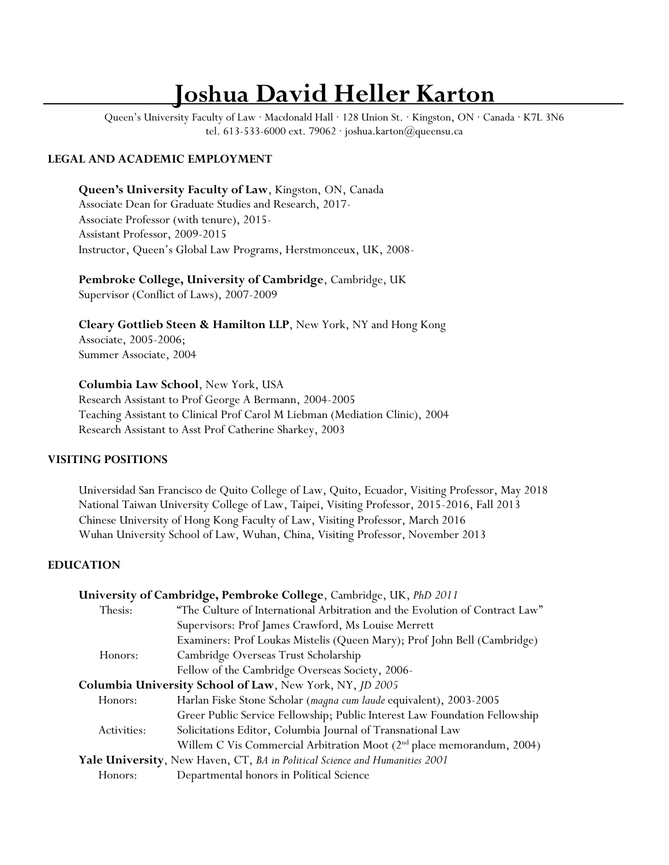# **Joshua David Heller Karton**

Queen's University Faculty of Law · Macdonald Hall · 128 Union St. · Kingston, ON · Canada · K7L 3N6 tel. 613-533-6000 ext. 79062 · joshua.karton@queensu.ca

# **LEGAL AND ACADEMIC EMPLOYMENT**

**Queen's University Faculty of Law**, Kingston, ON, Canada Associate Dean for Graduate Studies and Research, 2017- Associate Professor (with tenure), 2015- Assistant Professor, 2009-2015 Instructor, Queen's Global Law Programs, Herstmonceux, UK, 2008-

**Pembroke College, University of Cambridge**, Cambridge, UK Supervisor (Conflict of Laws), 2007-2009

**Cleary Gottlieb Steen & Hamilton LLP**, New York, NY and Hong Kong Associate, 2005-2006; Summer Associate, 2004

**Columbia Law School**, New York, USA

Research Assistant to Prof George A Bermann, 2004-2005 Teaching Assistant to Clinical Prof Carol M Liebman (Mediation Clinic), 2004 Research Assistant to Asst Prof Catherine Sharkey, 2003

# **VISITING POSITIONS**

Universidad San Francisco de Quito College of Law, Quito, Ecuador, Visiting Professor, May 2018 National Taiwan University College of Law, Taipei, Visiting Professor, 2015-2016, Fall 2013 Chinese University of Hong Kong Faculty of Law, Visiting Professor, March 2016 Wuhan University School of Law, Wuhan, China, Visiting Professor, November 2013

# **EDUCATION**

|             | University of Cambridge, Pembroke College, Cambridge, UK, PhD 2011           |
|-------------|------------------------------------------------------------------------------|
| Thesis:     | "The Culture of International Arbitration and the Evolution of Contract Law" |
|             | Supervisors: Prof James Crawford, Ms Louise Merrett                          |
|             | Examiners: Prof Loukas Mistelis (Queen Mary); Prof John Bell (Cambridge)     |
| Honors:     | Cambridge Overseas Trust Scholarship                                         |
|             | Fellow of the Cambridge Overseas Society, 2006-                              |
|             | Columbia University School of Law, New York, NY, JD 2005                     |
| Honors:     | Harlan Fiske Stone Scholar (magna cum laude equivalent), 2003-2005           |
|             | Greer Public Service Fellowship; Public Interest Law Foundation Fellowship   |
| Activities: | Solicitations Editor, Columbia Journal of Transnational Law                  |
|             | Willem C Vis Commercial Arbitration Moot $(2nd$ place memorandum, 2004)      |
|             | Yale University, New Haven, CT, BA in Political Science and Humanities 2001  |
| Honors:     | Departmental honors in Political Science                                     |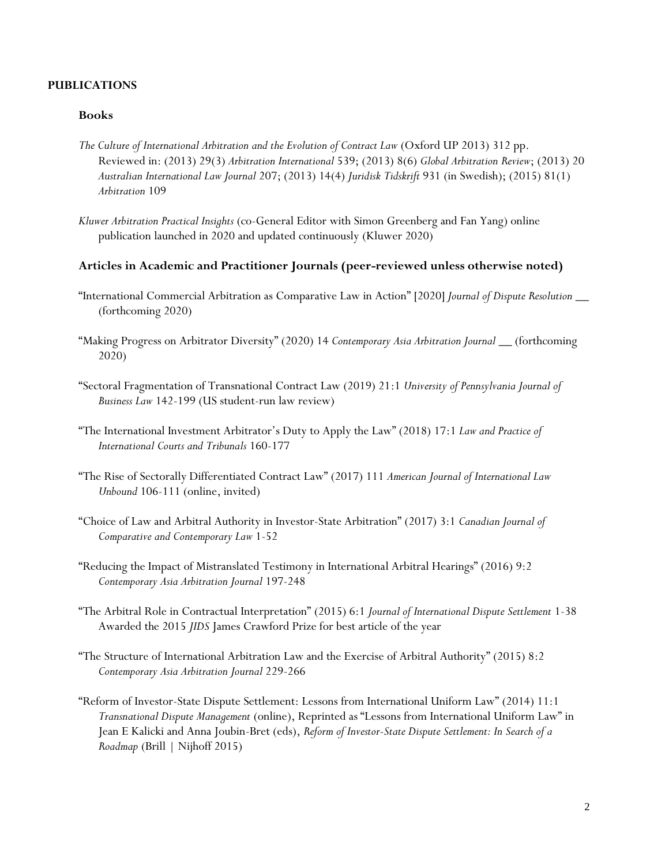# **PUBLICATIONS**

#### **Books**

- *The Culture of International Arbitration and the Evolution of Contract Law* (Oxford UP 2013) 312 pp. Reviewed in: (2013) 29(3) *Arbitration International* 539; (2013) 8(6) *Global Arbitration Review*; (2013) 20 *Australian International Law Journal* 207; (2013) 14(4) *Juridisk Tidskrift* 931 (in Swedish); (2015) 81(1) *Arbitration* 109
- *Kluwer Arbitration Practical Insights* (co-General Editor with Simon Greenberg and Fan Yang) online publication launched in 2020 and updated continuously (Kluwer 2020)

#### **Articles in Academic and Practitioner Journals (peer-reviewed unless otherwise noted)**

- "International Commercial Arbitration as Comparative Law in Action" [2020] *Journal of Dispute Resolution* \_\_ (forthcoming 2020)
- "Making Progress on Arbitrator Diversity" (2020) 14 *Contemporary Asia Arbitration Journal* \_\_ (forthcoming 2020)
- "Sectoral Fragmentation of Transnational Contract Law (2019) 21:1 *University of Pennsylvania Journal of Business Law* 142-199 (US student-run law review)
- "The International Investment Arbitrator's Duty to Apply the Law" (2018) 17:1 *Law and Practice of International Courts and Tribunals* 160-177
- "The Rise of Sectorally Differentiated Contract Law" (2017) 111 *American Journal of International Law Unbound* 106-111 (online, invited)
- "Choice of Law and Arbitral Authority in Investor-State Arbitration" (2017) 3:1 *Canadian Journal of Comparative and Contemporary Law* 1-52
- "Reducing the Impact of Mistranslated Testimony in International Arbitral Hearings" (2016) 9:2 *Contemporary Asia Arbitration Journal* 197-248
- "The Arbitral Role in Contractual Interpretation" (2015) 6:1 *Journal of International Dispute Settlement* 1-38 Awarded the 2015 *JIDS* James Crawford Prize for best article of the year
- "The Structure of International Arbitration Law and the Exercise of Arbitral Authority" (2015) 8:2 *Contemporary Asia Arbitration Journal* 229-266
- "Reform of Investor-State Dispute Settlement: Lessons from International Uniform Law" (2014) 11:1 *Transnational Dispute Management* (online), Reprinted as "Lessons from International Uniform Law" in Jean E Kalicki and Anna Joubin-Bret (eds), *Reform of Investor-State Dispute Settlement: In Search of a Roadmap* (Brill | Nijhoff 2015)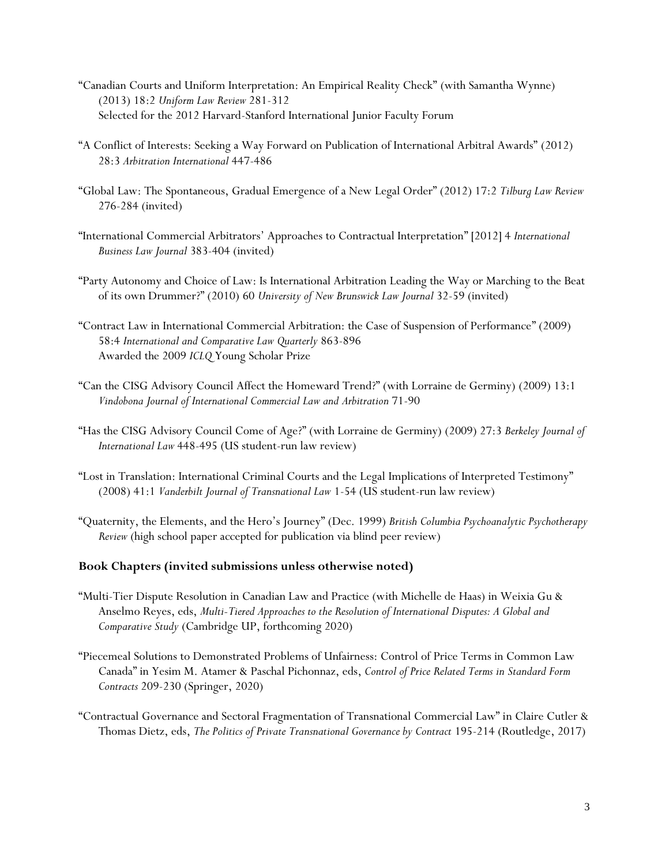- "Canadian Courts and Uniform Interpretation: An Empirical Reality Check" (with Samantha Wynne) (2013) 18:2 *Uniform Law Review* 281-312 Selected for the 2012 Harvard-Stanford International Junior Faculty Forum
- "A Conflict of Interests: Seeking a Way Forward on Publication of International Arbitral Awards" (2012) 28:3 *Arbitration International* 447-486
- "Global Law: The Spontaneous, Gradual Emergence of a New Legal Order" (2012) 17:2 *Tilburg Law Review* 276-284 (invited)
- "International Commercial Arbitrators' Approaches to Contractual Interpretation" [2012] 4 *International Business Law Journal* 383-404 (invited)
- "Party Autonomy and Choice of Law: Is International Arbitration Leading the Way or Marching to the Beat of its own Drummer?" (2010) 60 *University of New Brunswick Law Journal* 32-59 (invited)
- "Contract Law in International Commercial Arbitration: the Case of Suspension of Performance" (2009) 58:4 *International and Comparative Law Quarterly* 863-896 Awarded the 2009 *ICLQ* Young Scholar Prize
- "Can the CISG Advisory Council Affect the Homeward Trend?" (with Lorraine de Germiny) (2009) 13:1 *Vindobona Journal of International Commercial Law and Arbitration* 71-90
- "Has the CISG Advisory Council Come of Age?" (with Lorraine de Germiny) (2009) 27:3 *Berkeley Journal of International Law* 448-495 (US student-run law review)
- "Lost in Translation: International Criminal Courts and the Legal Implications of Interpreted Testimony" (2008) 41:1 *Vanderbilt Journal of Transnational Law* 1-54 (US student-run law review)
- "Quaternity, the Elements, and the Hero's Journey" (Dec. 1999) *British Columbia Psychoanalytic Psychotherapy Review* (high school paper accepted for publication via blind peer review)

# **Book Chapters (invited submissions unless otherwise noted)**

- "Multi-Tier Dispute Resolution in Canadian Law and Practice (with Michelle de Haas) in Weixia Gu & Anselmo Reyes, eds, *Multi-Tiered Approaches to the Resolution of International Disputes: A Global and Comparative Study* (Cambridge UP, forthcoming 2020)
- "Piecemeal Solutions to Demonstrated Problems of Unfairness: Control of Price Terms in Common Law Canada" in Yesim M. Atamer & Paschal Pichonnaz, eds, *Control of Price Related Terms in Standard Form Contracts* 209-230 (Springer, 2020)
- "Contractual Governance and Sectoral Fragmentation of Transnational Commercial Law" in Claire Cutler & Thomas Dietz, eds, *The Politics of Private Transnational Governance by Contract* 195-214 (Routledge, 2017)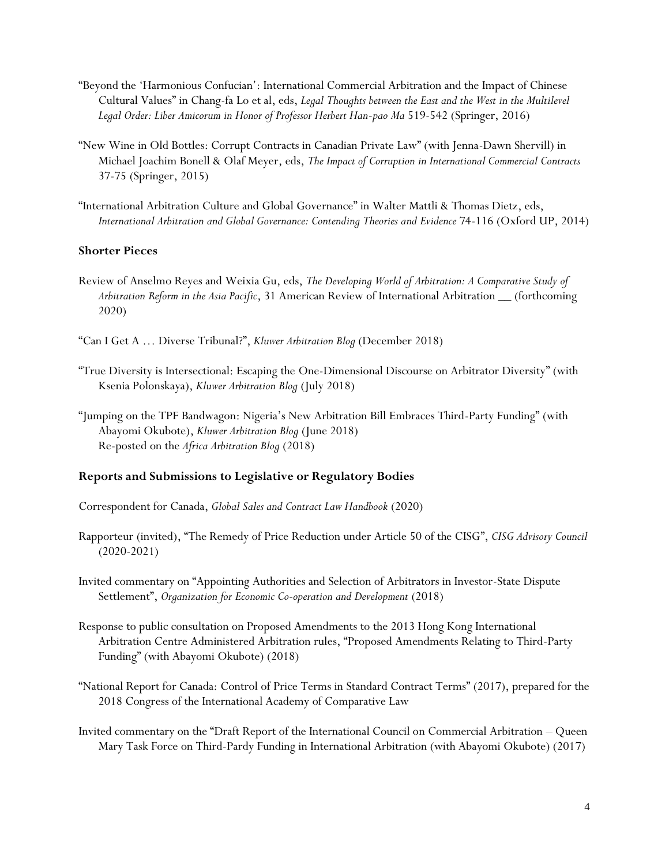- "Beyond the 'Harmonious Confucian': International Commercial Arbitration and the Impact of Chinese Cultural Values" in Chang-fa Lo et al, eds, *Legal Thoughts between the East and the West in the Multilevel Legal Order: Liber Amicorum in Honor of Professor Herbert Han-pao Ma* 519-542 (Springer, 2016)
- "New Wine in Old Bottles: Corrupt Contracts in Canadian Private Law" (with Jenna-Dawn Shervill) in Michael Joachim Bonell & Olaf Meyer, eds, *The Impact of Corruption in International Commercial Contracts*  37-75 (Springer, 2015)
- "International Arbitration Culture and Global Governance" in Walter Mattli & Thomas Dietz, eds, *International Arbitration and Global Governance: Contending Theories and Evidence* 74-116 (Oxford UP, 2014)

# **Shorter Pieces**

Review of Anselmo Reyes and Weixia Gu, eds, *The Developing World of Arbitration: A Comparative Study of Arbitration Reform in the Asia Pacific*, 31 American Review of International Arbitration \_\_ (forthcoming 2020)

"Can I Get A … Diverse Tribunal?", *Kluwer Arbitration Blog* (December 2018)

- "True Diversity is Intersectional: Escaping the One-Dimensional Discourse on Arbitrator Diversity" (with Ksenia Polonskaya), *Kluwer Arbitration Blog* (July 2018)
- "Jumping on the TPF Bandwagon: Nigeria's New Arbitration Bill Embraces Third-Party Funding" (with Abayomi Okubote), *Kluwer Arbitration Blog* (June 2018) Re-posted on the *Africa Arbitration Blog* (2018)

# **Reports and Submissions to Legislative or Regulatory Bodies**

Correspondent for Canada, *Global Sales and Contract Law Handbook* (2020)

- Rapporteur (invited), "The Remedy of Price Reduction under Article 50 of the CISG", *CISG Advisory Council* (2020-2021)
- Invited commentary on "Appointing Authorities and Selection of Arbitrators in Investor-State Dispute Settlement", *Organization for Economic Co-operation and Development* (2018)
- Response to public consultation on Proposed Amendments to the 2013 Hong Kong International Arbitration Centre Administered Arbitration rules, "Proposed Amendments Relating to Third-Party Funding" (with Abayomi Okubote) (2018)
- "National Report for Canada: Control of Price Terms in Standard Contract Terms" (2017), prepared for the 2018 Congress of the International Academy of Comparative Law
- Invited commentary on the "Draft Report of the International Council on Commercial Arbitration Queen Mary Task Force on Third-Pardy Funding in International Arbitration (with Abayomi Okubote) (2017)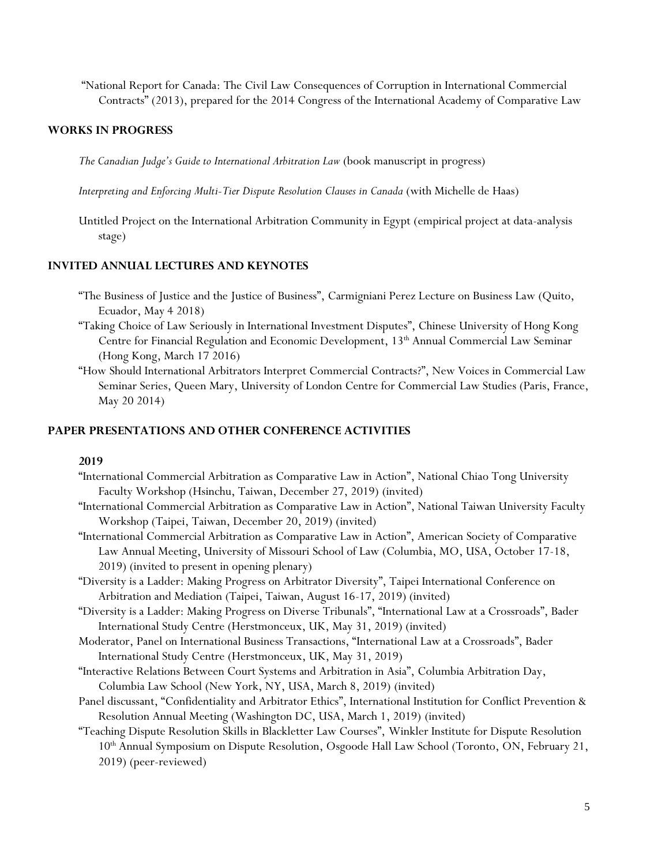"National Report for Canada: The Civil Law Consequences of Corruption in International Commercial Contracts" (2013), prepared for the 2014 Congress of the International Academy of Comparative Law

# **WORKS IN PROGRESS**

*The Canadian Judge's Guide to International Arbitration Law* (book manuscript in progress)

- *Interpreting and Enforcing Multi-Tier Dispute Resolution Clauses in Canada* (with Michelle de Haas)
- Untitled Project on the International Arbitration Community in Egypt (empirical project at data-analysis stage)

## **INVITED ANNUAL LECTURES AND KEYNOTES**

- "The Business of Justice and the Justice of Business", Carmigniani Perez Lecture on Business Law (Quito, Ecuador, May 4 2018)
- "Taking Choice of Law Seriously in International Investment Disputes", Chinese University of Hong Kong Centre for Financial Regulation and Economic Development, 13<sup>th</sup> Annual Commercial Law Seminar (Hong Kong, March 17 2016)
- "How Should International Arbitrators Interpret Commercial Contracts?", New Voices in Commercial Law Seminar Series, Queen Mary, University of London Centre for Commercial Law Studies (Paris, France, May 20 2014)

# **PAPER PRESENTATIONS AND OTHER CONFERENCE ACTIVITIES**

## **2019**

- "International Commercial Arbitration as Comparative Law in Action", National Chiao Tong University Faculty Workshop (Hsinchu, Taiwan, December 27, 2019) (invited)
- "International Commercial Arbitration as Comparative Law in Action", National Taiwan University Faculty Workshop (Taipei, Taiwan, December 20, 2019) (invited)
- "International Commercial Arbitration as Comparative Law in Action", American Society of Comparative Law Annual Meeting, University of Missouri School of Law (Columbia, MO, USA, October 17-18, 2019) (invited to present in opening plenary)
- "Diversity is a Ladder: Making Progress on Arbitrator Diversity", Taipei International Conference on Arbitration and Mediation (Taipei, Taiwan, August 16-17, 2019) (invited)
- "Diversity is a Ladder: Making Progress on Diverse Tribunals", "International Law at a Crossroads", Bader International Study Centre (Herstmonceux, UK, May 31, 2019) (invited)
- Moderator, Panel on International Business Transactions, "International Law at a Crossroads", Bader International Study Centre (Herstmonceux, UK, May 31, 2019)
- "Interactive Relations Between Court Systems and Arbitration in Asia", Columbia Arbitration Day, Columbia Law School (New York, NY, USA, March 8, 2019) (invited)
- Panel discussant, "Confidentiality and Arbitrator Ethics", International Institution for Conflict Prevention & Resolution Annual Meeting (Washington DC, USA, March 1, 2019) (invited)
- "Teaching Dispute Resolution Skills in Blackletter Law Courses", Winkler Institute for Dispute Resolution 10<sup>th</sup> Annual Symposium on Dispute Resolution, Osgoode Hall Law School (Toronto, ON, February 21, 2019) (peer-reviewed)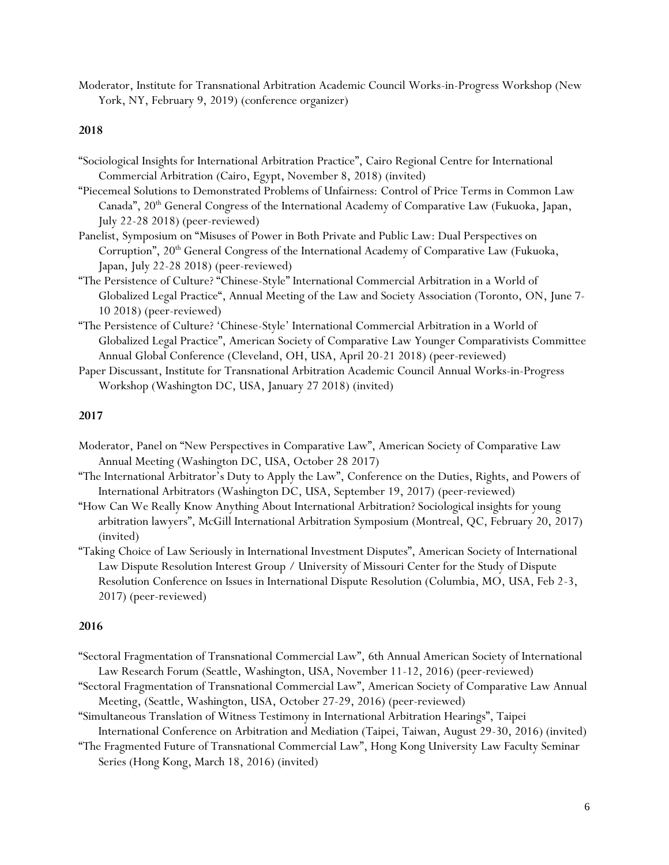Moderator, Institute for Transnational Arbitration Academic Council Works-in-Progress Workshop (New York, NY, February 9, 2019) (conference organizer)

#### **2018**

- "Sociological Insights for International Arbitration Practice", Cairo Regional Centre for International Commercial Arbitration (Cairo, Egypt, November 8, 2018) (invited)
- "Piecemeal Solutions to Demonstrated Problems of Unfairness: Control of Price Terms in Common Law Canada", 20<sup>th</sup> General Congress of the International Academy of Comparative Law (Fukuoka, Japan, July 22-28 2018) (peer-reviewed)
- Panelist, Symposium on "Misuses of Power in Both Private and Public Law: Dual Perspectives on Corruption", 20<sup>th</sup> General Congress of the International Academy of Comparative Law (Fukuoka, Japan, July 22-28 2018) (peer-reviewed)
- "The Persistence of Culture? "Chinese-Style" International Commercial Arbitration in a World of Globalized Legal Practice", Annual Meeting of the Law and Society Association (Toronto, ON, June 7- 10 2018) (peer-reviewed)
- "The Persistence of Culture? 'Chinese-Style' International Commercial Arbitration in a World of Globalized Legal Practice", American Society of Comparative Law Younger Comparativists Committee Annual Global Conference (Cleveland, OH, USA, April 20-21 2018) (peer-reviewed)
- Paper Discussant, Institute for Transnational Arbitration Academic Council Annual Works-in-Progress Workshop (Washington DC, USA, January 27 2018) (invited)

# **2017**

- Moderator, Panel on "New Perspectives in Comparative Law", American Society of Comparative Law Annual Meeting (Washington DC, USA, October 28 2017)
- "The International Arbitrator's Duty to Apply the Law", Conference on the Duties, Rights, and Powers of International Arbitrators (Washington DC, USA, September 19, 2017) (peer-reviewed)
- "How Can We Really Know Anything About International Arbitration? Sociological insights for young arbitration lawyers", McGill International Arbitration Symposium (Montreal, QC, February 20, 2017) (invited)
- "Taking Choice of Law Seriously in International Investment Disputes", American Society of International Law Dispute Resolution Interest Group / University of Missouri Center for the Study of Dispute Resolution Conference on Issues in International Dispute Resolution (Columbia, MO, USA, Feb 2-3, 2017) (peer-reviewed)

## **2016**

- "Sectoral Fragmentation of Transnational Commercial Law", 6th Annual American Society of International Law Research Forum (Seattle, Washington, USA, November 11-12, 2016) (peer-reviewed)
- "Sectoral Fragmentation of Transnational Commercial Law", American Society of Comparative Law Annual Meeting, (Seattle, Washington, USA, October 27-29, 2016) (peer-reviewed)
- "Simultaneous Translation of Witness Testimony in International Arbitration Hearings", Taipei International Conference on Arbitration and Mediation (Taipei, Taiwan, August 29-30, 2016) (invited)
- "The Fragmented Future of Transnational Commercial Law", Hong Kong University Law Faculty Seminar Series (Hong Kong, March 18, 2016) (invited)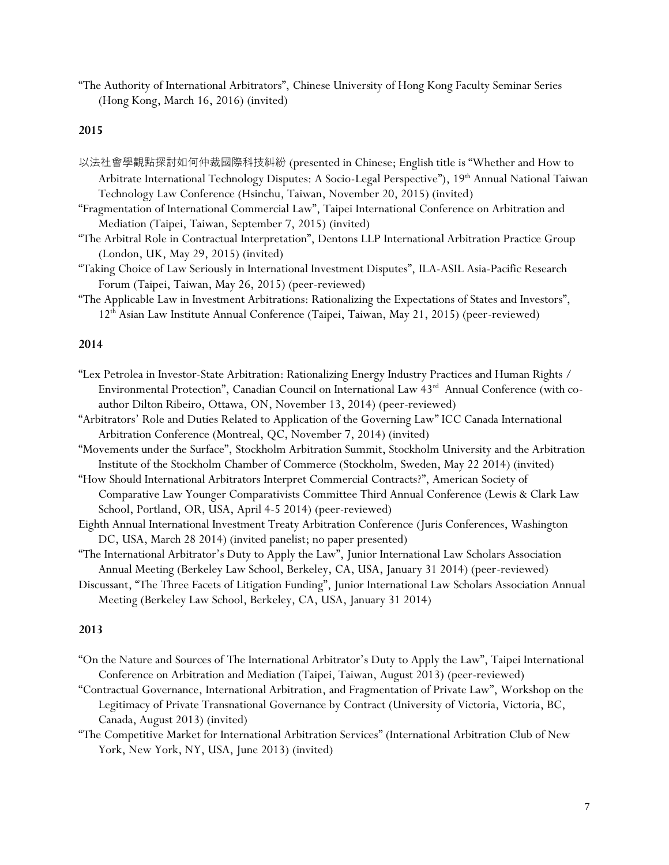"The Authority of International Arbitrators", Chinese University of Hong Kong Faculty Seminar Series (Hong Kong, March 16, 2016) (invited)

#### **2015**

- 以法社會學觀點探討如何仲裁國際科技糾紛 (presented in Chinese; English title is "Whether and How to Arbitrate International Technology Disputes: A Socio-Legal Perspective"), 19<sup>th</sup> Annual National Taiwan Technology Law Conference (Hsinchu, Taiwan, November 20, 2015) (invited)
- "Fragmentation of International Commercial Law", Taipei International Conference on Arbitration and Mediation (Taipei, Taiwan, September 7, 2015) (invited)
- "The Arbitral Role in Contractual Interpretation", Dentons LLP International Arbitration Practice Group (London, UK, May 29, 2015) (invited)
- "Taking Choice of Law Seriously in International Investment Disputes", ILA-ASIL Asia-Pacific Research Forum (Taipei, Taiwan, May 26, 2015) (peer-reviewed)
- "The Applicable Law in Investment Arbitrations: Rationalizing the Expectations of States and Investors", 12th Asian Law Institute Annual Conference (Taipei, Taiwan, May 21, 2015) (peer-reviewed)

## **2014**

- "Lex Petrolea in Investor-State Arbitration: Rationalizing Energy Industry Practices and Human Rights / Environmental Protection", Canadian Council on International Law 43<sup>rd</sup> Annual Conference (with coauthor Dilton Ribeiro, Ottawa, ON, November 13, 2014) (peer-reviewed)
- "Arbitrators' Role and Duties Related to Application of the Governing Law" ICC Canada International Arbitration Conference (Montreal, QC, November 7, 2014) (invited)
- "Movements under the Surface", Stockholm Arbitration Summit, Stockholm University and the Arbitration Institute of the Stockholm Chamber of Commerce (Stockholm, Sweden, May 22 2014) (invited)
- "How Should International Arbitrators Interpret Commercial Contracts?", American Society of Comparative Law Younger Comparativists Committee Third Annual Conference (Lewis & Clark Law School, Portland, OR, USA, April 4-5 2014) (peer-reviewed)
- Eighth Annual International Investment Treaty Arbitration Conference (Juris Conferences, Washington DC, USA, March 28 2014) (invited panelist; no paper presented)
- "The International Arbitrator's Duty to Apply the Law", Junior International Law Scholars Association Annual Meeting (Berkeley Law School, Berkeley, CA, USA, January 31 2014) (peer-reviewed)
- Discussant, "The Three Facets of Litigation Funding", Junior International Law Scholars Association Annual Meeting (Berkeley Law School, Berkeley, CA, USA, January 31 2014)

#### **2013**

- "On the Nature and Sources of The International Arbitrator's Duty to Apply the Law", Taipei International Conference on Arbitration and Mediation (Taipei, Taiwan, August 2013) (peer-reviewed)
- "Contractual Governance, International Arbitration, and Fragmentation of Private Law", Workshop on the Legitimacy of Private Transnational Governance by Contract (University of Victoria, Victoria, BC, Canada, August 2013) (invited)
- "The Competitive Market for International Arbitration Services" (International Arbitration Club of New York, New York, NY, USA, June 2013) (invited)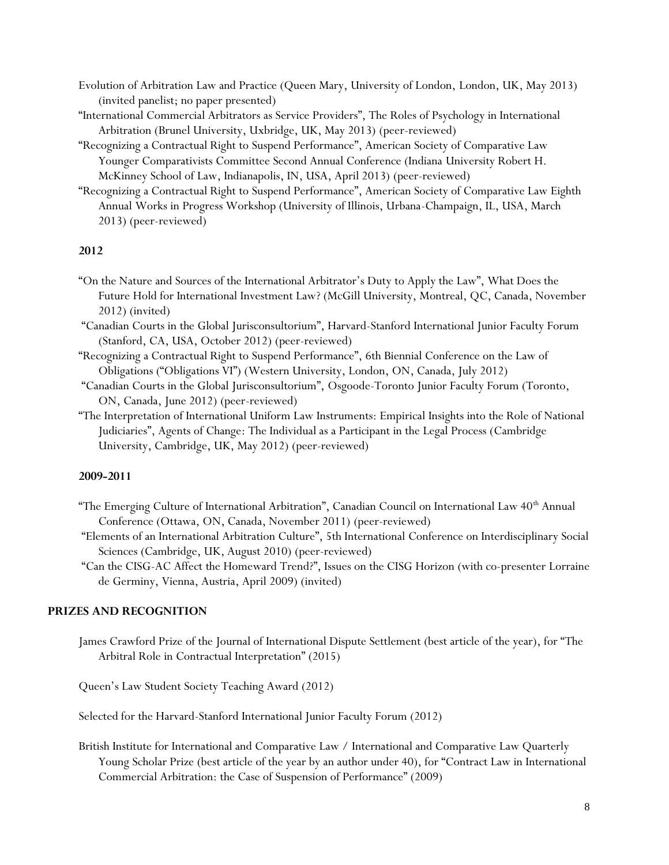- Evolution of Arbitration Law and Practice (Queen Mary, University of London, London, UK, May 2013) (invited panelist; no paper presented)
- "International Commercial Arbitrators as Service Providers", The Roles of Psychology in International Arbitration (Brunel University, Uxbridge, UK, May 2013) (peer-reviewed)
- "Recognizing a Contractual Right to Suspend Performance", American Society of Comparative Law Younger Comparativists Committee Second Annual Conference (Indiana University Robert H. McKinney School of Law, Indianapolis, IN, USA, April 2013) (peer-reviewed)
- "Recognizing a Contractual Right to Suspend Performance", American Society of Comparative Law Eighth Annual Works in Progress Workshop (University of Illinois, Urbana-Champaign, IL, USA, March 2013) (peer-reviewed)

# **2012**

- "On the Nature and Sources of the International Arbitrator's Duty to Apply the Law", What Does the Future Hold for International Investment Law? (McGill University, Montreal, QC, Canada, November 2012) (invited)
- "Canadian Courts in the Global Jurisconsultorium", Harvard-Stanford International Junior Faculty Forum (Stanford, CA, USA, October 2012) (peer-reviewed)
- "Recognizing a Contractual Right to Suspend Performance", 6th Biennial Conference on the Law of Obligations ("Obligations VI") (Western University, London, ON, Canada, July 2012)
- "Canadian Courts in the Global Jurisconsultorium", Osgoode-Toronto Junior Faculty Forum (Toronto, ON, Canada, June 2012) (peer-reviewed)
- "The Interpretation of International Uniform Law Instruments: Empirical Insights into the Role of National Judiciaries", Agents of Change: The Individual as a Participant in the Legal Process (Cambridge University, Cambridge, UK, May 2012) (peer-reviewed)

## **2009-2011**

- "The Emerging Culture of International Arbitration", Canadian Council on International Law 40<sup>th</sup> Annual Conference (Ottawa, ON, Canada, November 2011) (peer-reviewed)
- "Elements of an International Arbitration Culture", 5th International Conference on Interdisciplinary Social Sciences (Cambridge, UK, August 2010) (peer-reviewed)
- "Can the CISG-AC Affect the Homeward Trend?", Issues on the CISG Horizon (with co-presenter Lorraine de Germiny, Vienna, Austria, April 2009) (invited)

# **PRIZES AND RECOGNITION**

James Crawford Prize of the Journal of International Dispute Settlement (best article of the year), for "The Arbitral Role in Contractual Interpretation" (2015)

Queen's Law Student Society Teaching Award (2012)

Selected for the Harvard-Stanford International Junior Faculty Forum (2012)

British Institute for International and Comparative Law / International and Comparative Law Quarterly Young Scholar Prize (best article of the year by an author under 40), for "Contract Law in International Commercial Arbitration: the Case of Suspension of Performance" (2009)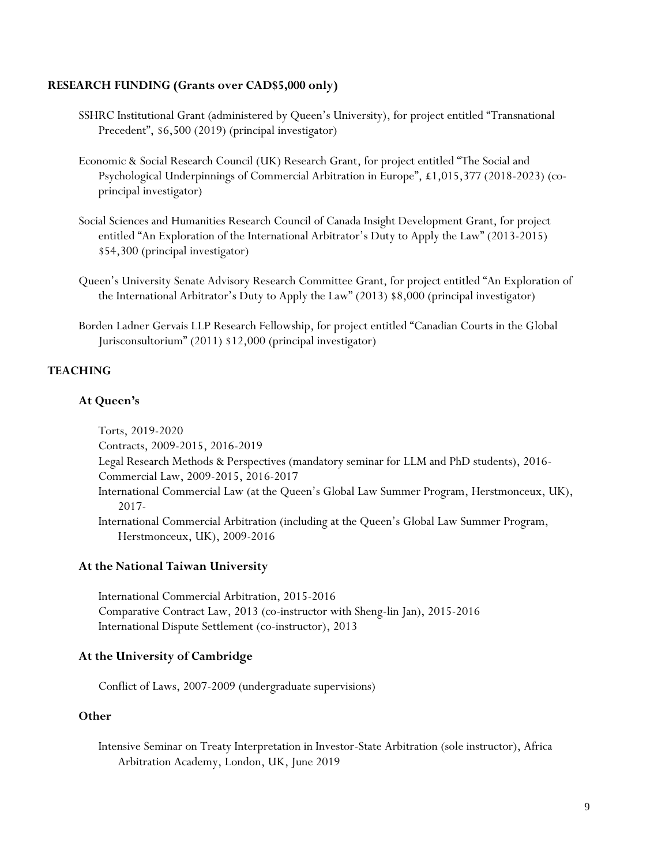# **RESEARCH FUNDING (Grants over CAD\$5,000 only)**

- SSHRC Institutional Grant (administered by Queen's University), for project entitled "Transnational Precedent", \$6,500 (2019) (principal investigator)
- Economic & Social Research Council (UK) Research Grant, for project entitled "The Social and Psychological Underpinnings of Commercial Arbitration in Europe", £1,015,377 (2018-2023) (coprincipal investigator)
- Social Sciences and Humanities Research Council of Canada Insight Development Grant, for project entitled "An Exploration of the International Arbitrator's Duty to Apply the Law" (2013-2015) \$54,300 (principal investigator)
- Queen's University Senate Advisory Research Committee Grant, for project entitled "An Exploration of the International Arbitrator's Duty to Apply the Law" (2013) \$8,000 (principal investigator)
- Borden Ladner Gervais LLP Research Fellowship, for project entitled "Canadian Courts in the Global Jurisconsultorium" (2011) \$12,000 (principal investigator)

# **TEACHING**

# **At Queen's**

Torts, 2019-2020 Contracts, 2009-2015, 2016-2019 Legal Research Methods & Perspectives (mandatory seminar for LLM and PhD students), 2016- Commercial Law, 2009-2015, 2016-2017 International Commercial Law (at the Queen's Global Law Summer Program, Herstmonceux, UK), 2017- International Commercial Arbitration (including at the Queen's Global Law Summer Program, Herstmonceux, UK), 2009-2016

# **At the National Taiwan University**

International Commercial Arbitration, 2015-2016 Comparative Contract Law, 2013 (co-instructor with Sheng-lin Jan), 2015-2016 International Dispute Settlement (co-instructor), 2013

## **At the University of Cambridge**

Conflict of Laws, 2007-2009 (undergraduate supervisions)

# **Other**

Intensive Seminar on Treaty Interpretation in Investor-State Arbitration (sole instructor), Africa Arbitration Academy, London, UK, June 2019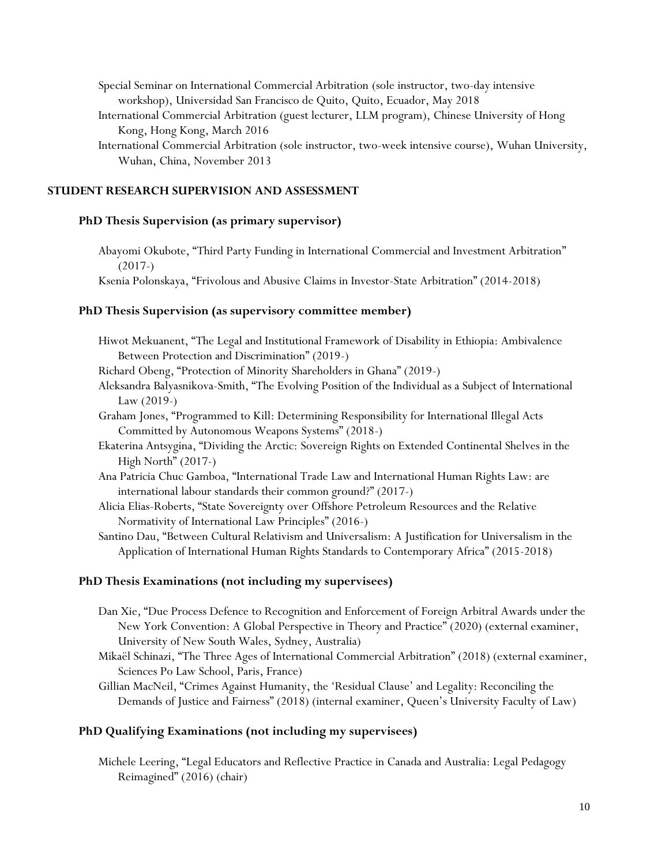Special Seminar on International Commercial Arbitration (sole instructor, two-day intensive workshop), Universidad San Francisco de Quito, Quito, Ecuador, May 2018

- International Commercial Arbitration (guest lecturer, LLM program), Chinese University of Hong Kong, Hong Kong, March 2016
- International Commercial Arbitration (sole instructor, two-week intensive course), Wuhan University, Wuhan, China, November 2013

## **STUDENT RESEARCH SUPERVISION AND ASSESSMENT**

# **PhD Thesis Supervision (as primary supervisor)**

Abayomi Okubote, "Third Party Funding in International Commercial and Investment Arbitration" (2017-)

Ksenia Polonskaya, "Frivolous and Abusive Claims in Investor-State Arbitration" (2014-2018)

#### **PhD Thesis Supervision (as supervisory committee member)**

- Hiwot Mekuanent, "The Legal and Institutional Framework of Disability in Ethiopia: Ambivalence Between Protection and Discrimination" (2019-)
- Richard Obeng, "Protection of Minority Shareholders in Ghana" (2019-)
- Aleksandra Balyasnikova-Smith, "The Evolving Position of the Individual as a Subject of International Law (2019-)
- Graham Jones, "Programmed to Kill: Determining Responsibility for International Illegal Acts Committed by Autonomous Weapons Systems" (2018-)
- Ekaterina Antsygina, "Dividing the Arctic: Sovereign Rights on Extended Continental Shelves in the High North" (2017-)
- Ana Patricia Chuc Gamboa, "International Trade Law and International Human Rights Law: are international labour standards their common ground?" (2017-)
- Alicia Elias-Roberts, "State Sovereignty over Offshore Petroleum Resources and the Relative Normativity of International Law Principles" (2016-)

Santino Dau, "Between Cultural Relativism and Universalism: A Justification for Universalism in the Application of International Human Rights Standards to Contemporary Africa" (2015-2018)

## **PhD Thesis Examinations (not including my supervisees)**

- Dan Xie, "Due Process Defence to Recognition and Enforcement of Foreign Arbitral Awards under the New York Convention: A Global Perspective in Theory and Practice" (2020) (external examiner, University of New South Wales, Sydney, Australia)
- Mikaël Schinazi, "The Three Ages of International Commercial Arbitration" (2018) (external examiner, Sciences Po Law School, Paris, France)
- Gillian MacNeil, "Crimes Against Humanity, the 'Residual Clause' and Legality: Reconciling the Demands of Justice and Fairness" (2018) (internal examiner, Queen's University Faculty of Law)

# **PhD Qualifying Examinations (not including my supervisees)**

Michele Leering, "Legal Educators and Reflective Practice in Canada and Australia: Legal Pedagogy Reimagined" (2016) (chair)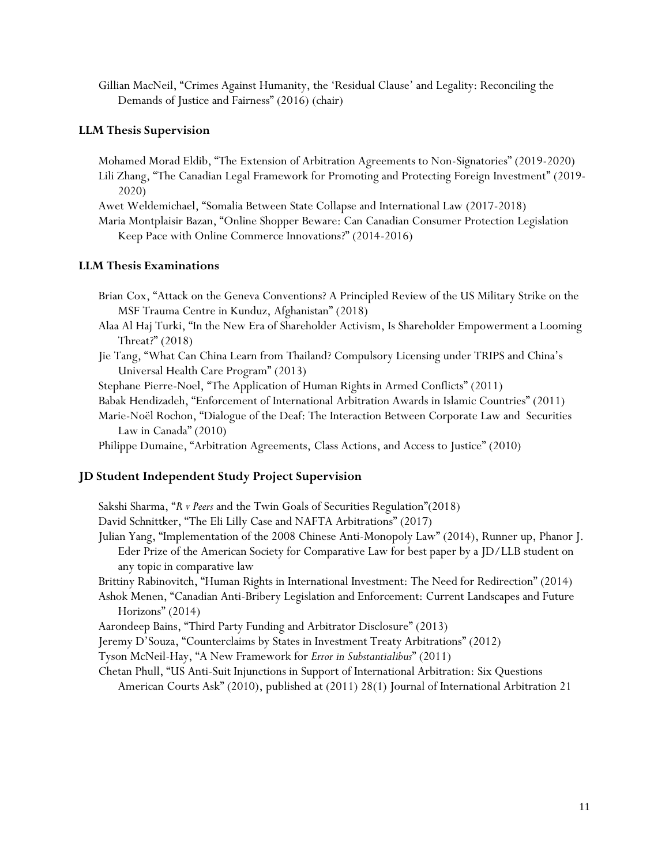Gillian MacNeil, "Crimes Against Humanity, the 'Residual Clause' and Legality: Reconciling the Demands of Justice and Fairness" (2016) (chair)

# **LLM Thesis Supervision**

Mohamed Morad Eldib, "The Extension of Arbitration Agreements to Non-Signatories" (2019-2020)

Lili Zhang, "The Canadian Legal Framework for Promoting and Protecting Foreign Investment" (2019- 2020)

Awet Weldemichael, "Somalia Between State Collapse and International Law (2017-2018)

Maria Montplaisir Bazan, "Online Shopper Beware: Can Canadian Consumer Protection Legislation Keep Pace with Online Commerce Innovations?" (2014-2016)

# **LLM Thesis Examinations**

Brian Cox, "Attack on the Geneva Conventions? A Principled Review of the US Military Strike on the MSF Trauma Centre in Kunduz, Afghanistan" (2018)

- Alaa Al Haj Turki, "In the New Era of Shareholder Activism, Is Shareholder Empowerment a Looming Threat?" (2018)
- Jie Tang, "What Can China Learn from Thailand? Compulsory Licensing under TRIPS and China's Universal Health Care Program" (2013)

Stephane Pierre-Noel, "The Application of Human Rights in Armed Conflicts" (2011)

- Babak Hendizadeh, "Enforcement of International Arbitration Awards in Islamic Countries" (2011)
- Marie-Noël Rochon, "Dialogue of the Deaf: The Interaction Between Corporate Law and Securities Law in Canada" (2010)

Philippe Dumaine, "Arbitration Agreements, Class Actions, and Access to Justice" (2010)

# **JD Student Independent Study Project Supervision**

Sakshi Sharma, "*R v Peers* and the Twin Goals of Securities Regulation"(2018)

- David Schnittker, "The Eli Lilly Case and NAFTA Arbitrations" (2017)
- Julian Yang, "Implementation of the 2008 Chinese Anti-Monopoly Law" (2014), Runner up, Phanor J. Eder Prize of the American Society for Comparative Law for best paper by a JD/LLB student on any topic in comparative law
- Brittiny Rabinovitch, "Human Rights in International Investment: The Need for Redirection" (2014)
- Ashok Menen, "Canadian Anti-Bribery Legislation and Enforcement: Current Landscapes and Future Horizons" (2014)

Aarondeep Bains, "Third Party Funding and Arbitrator Disclosure" (2013)

Jeremy D'Souza, "Counterclaims by States in Investment Treaty Arbitrations" (2012)

Tyson McNeil-Hay, "A New Framework for *Error in Substantialibus*" (2011)

Chetan Phull, "US Anti-Suit Injunctions in Support of International Arbitration: Six Questions

American Courts Ask" (2010), published at (2011) 28(1) Journal of International Arbitration 21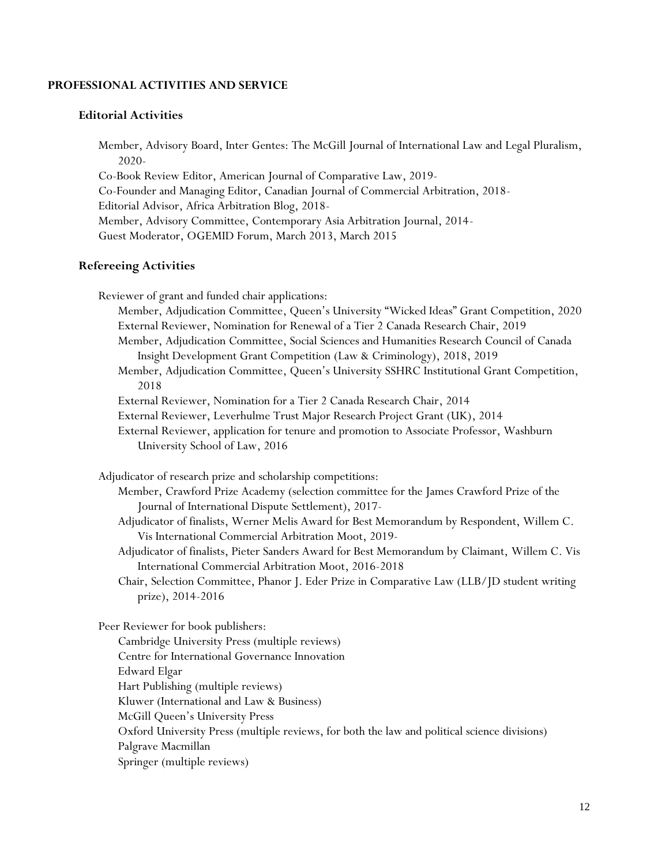# **PROFESSIONAL ACTIVITIES AND SERVICE**

## **Editorial Activities**

Member, Advisory Board, Inter Gentes: The McGill Journal of International Law and Legal Pluralism, 2020-

Co-Book Review Editor, American Journal of Comparative Law, 2019- Co-Founder and Managing Editor, Canadian Journal of Commercial Arbitration, 2018- Editorial Advisor, Africa Arbitration Blog, 2018- Member, Advisory Committee, Contemporary Asia Arbitration Journal, 2014- Guest Moderator, OGEMID Forum, March 2013, March 2015

## **Refereeing Activities**

Reviewer of grant and funded chair applications:

- Member, Adjudication Committee, Queen's University "Wicked Ideas" Grant Competition, 2020 External Reviewer, Nomination for Renewal of a Tier 2 Canada Research Chair, 2019
- Member, Adjudication Committee, Social Sciences and Humanities Research Council of Canada Insight Development Grant Competition (Law & Criminology), 2018, 2019
- Member, Adjudication Committee, Queen's University SSHRC Institutional Grant Competition, 2018

External Reviewer, Nomination for a Tier 2 Canada Research Chair, 2014

- External Reviewer, Leverhulme Trust Major Research Project Grant (UK), 2014
- External Reviewer, application for tenure and promotion to Associate Professor, Washburn University School of Law, 2016

Adjudicator of research prize and scholarship competitions:

- Member, Crawford Prize Academy (selection committee for the James Crawford Prize of the Journal of International Dispute Settlement), 2017-
- Adjudicator of finalists, Werner Melis Award for Best Memorandum by Respondent, Willem C. Vis International Commercial Arbitration Moot, 2019-
- Adjudicator of finalists, Pieter Sanders Award for Best Memorandum by Claimant, Willem C. Vis International Commercial Arbitration Moot, 2016-2018
- Chair, Selection Committee, Phanor J. Eder Prize in Comparative Law (LLB/JD student writing prize), 2014-2016

Peer Reviewer for book publishers:

Cambridge University Press (multiple reviews) Centre for International Governance Innovation Edward Elgar Hart Publishing (multiple reviews) Kluwer (International and Law & Business) McGill Queen's University Press

Oxford University Press (multiple reviews, for both the law and political science divisions)

Palgrave Macmillan

Springer (multiple reviews)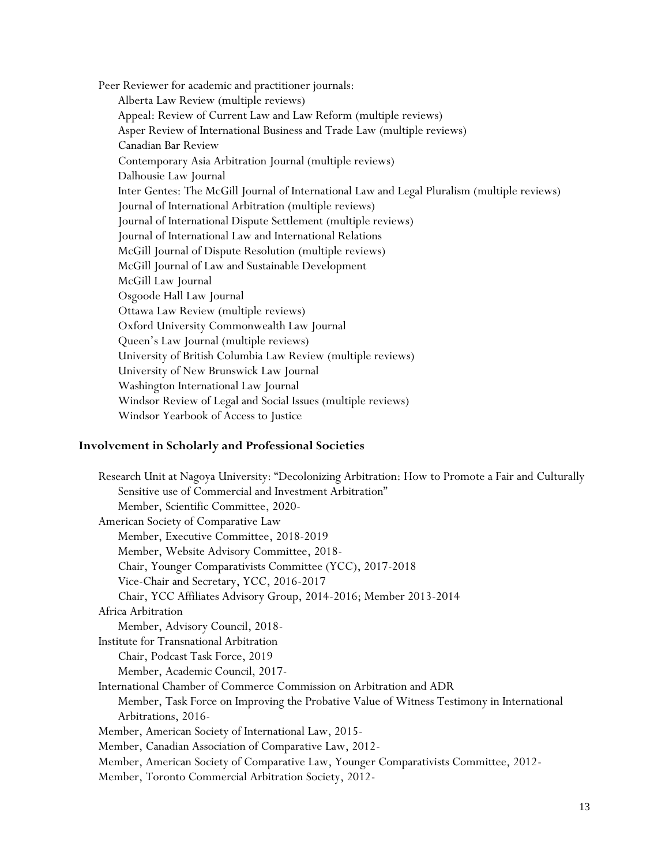Peer Reviewer for academic and practitioner journals: Alberta Law Review (multiple reviews) Appeal: Review of Current Law and Law Reform (multiple reviews) Asper Review of International Business and Trade Law (multiple reviews) Canadian Bar Review Contemporary Asia Arbitration Journal (multiple reviews) Dalhousie Law Journal Inter Gentes: The McGill Journal of International Law and Legal Pluralism (multiple reviews) Journal of International Arbitration (multiple reviews) Journal of International Dispute Settlement (multiple reviews) Journal of International Law and International Relations McGill Journal of Dispute Resolution (multiple reviews) McGill Journal of Law and Sustainable Development McGill Law Journal Osgoode Hall Law Journal Ottawa Law Review (multiple reviews) Oxford University Commonwealth Law Journal Queen's Law Journal (multiple reviews) University of British Columbia Law Review (multiple reviews) University of New Brunswick Law Journal Washington International Law Journal Windsor Review of Legal and Social Issues (multiple reviews) Windsor Yearbook of Access to Justice

## **Involvement in Scholarly and Professional Societies**

| Research Unit at Nagoya University: "Decolonizing Arbitration: How to Promote a Fair and Culturally |  |
|-----------------------------------------------------------------------------------------------------|--|
| Sensitive use of Commercial and Investment Arbitration"                                             |  |
| Member, Scientific Committee, 2020-                                                                 |  |
| American Society of Comparative Law                                                                 |  |
| Member, Executive Committee, 2018-2019                                                              |  |
| Member, Website Advisory Committee, 2018-                                                           |  |
| Chair, Younger Comparativists Committee (YCC), 2017-2018                                            |  |
| Vice-Chair and Secretary, YCC, 2016-2017                                                            |  |
| Chair, YCC Affiliates Advisory Group, 2014-2016; Member 2013-2014                                   |  |
| Africa Arbitration                                                                                  |  |
| Member, Advisory Council, 2018-                                                                     |  |
| Institute for Transnational Arbitration                                                             |  |
| Chair, Podcast Task Force, 2019                                                                     |  |
| Member, Academic Council, 2017-                                                                     |  |
| International Chamber of Commerce Commission on Arbitration and ADR                                 |  |
| Member, Task Force on Improving the Probative Value of Witness Testimony in International           |  |
| Arbitrations, 2016-                                                                                 |  |
| Member, American Society of International Law, 2015-                                                |  |
| Member, Canadian Association of Comparative Law, 2012-                                              |  |
| Member, American Society of Comparative Law, Younger Comparativists Committee, 2012-                |  |
| Member, Toronto Commercial Arbitration Society, 2012-                                               |  |
|                                                                                                     |  |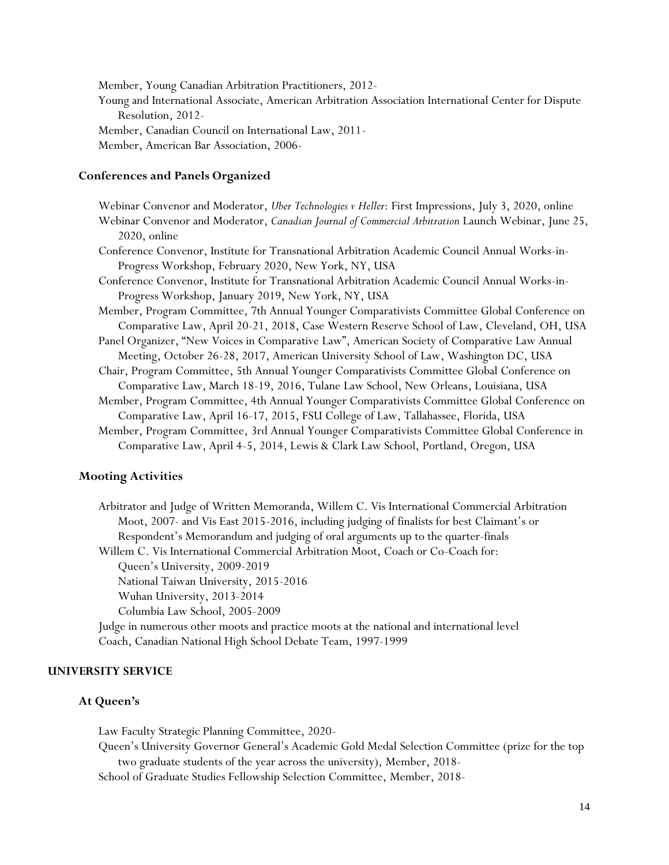Member, Young Canadian Arbitration Practitioners, 2012- Young and International Associate, American Arbitration Association International Center for Dispute Resolution, 2012- Member, Canadian Council on International Law, 2011- Member, American Bar Association, 2006-

# **Conferences and Panels Organized**

| Webinar Convenor and Moderator, Uber Technologies v Heller: First Impressions, July 3, 2020, online |  |
|-----------------------------------------------------------------------------------------------------|--|
| Webinar Convenor and Moderator, Canadian Journal of Commercial Arbitration Launch Webinar, June 25, |  |
| $2020$ , online                                                                                     |  |
| Conference Convenor, Institute for Transnational Arbitration Academic Council Annual Works-in-      |  |
| Progress Workshop, February 2020, New York, NY, USA                                                 |  |
| Conference Convenor, Institute for Transnational Arbitration Academic Council Annual Works-in-      |  |
| Progress Workshop, January 2019, New York, NY, USA                                                  |  |
| Member, Program Committee, 7th Annual Younger Comparativists Committee Global Conference on         |  |
| Comparative Law, April 20-21, 2018, Case Western Reserve School of Law, Cleveland, OH, USA          |  |
| Panel Organizer, "New Voices in Comparative Law", American Society of Comparative Law Annual        |  |
| Meeting, October 26-28, 2017, American University School of Law, Washington DC, USA                 |  |
| Chair, Program Committee, 5th Annual Younger Comparativists Committee Global Conference on          |  |
| Comparative Law, March 18-19, 2016, Tulane Law School, New Orleans, Louisiana, USA                  |  |
| Member, Program Committee, 4th Annual Younger Comparativists Committee Global Conference on         |  |
| Comparative Law, April 16-17, 2015, FSU College of Law, Tallahassee, Florida, USA                   |  |

Member, Program Committee, 3rd Annual Younger Comparativists Committee Global Conference in Comparative Law, April 4-5, 2014, Lewis & Clark Law School, Portland, Oregon, USA

## **Mooting Activities**

Arbitrator and Judge of Written Memoranda, Willem C. Vis International Commercial Arbitration Moot, 2007- and Vis East 2015-2016, including judging of finalists for best Claimant's or Respondent's Memorandum and judging of oral arguments up to the quarter-finals

Willem C. Vis International Commercial Arbitration Moot, Coach or Co-Coach for: Queen's University, 2009-2019

National Taiwan University, 2015-2016

Wuhan University, 2013-2014

Columbia Law School, 2005-2009

Judge in numerous other moots and practice moots at the national and international level Coach, Canadian National High School Debate Team, 1997-1999

## **UNIVERSITY SERVICE**

# **At Queen's**

Law Faculty Strategic Planning Committee, 2020-

Queen's University Governor General's Academic Gold Medal Selection Committee (prize for the top two graduate students of the year across the university), Member, 2018-

School of Graduate Studies Fellowship Selection Committee, Member, 2018-